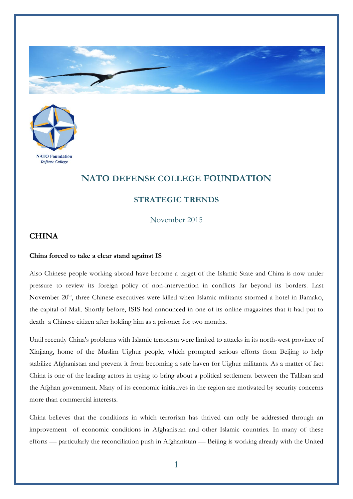



## **NATO DEFENSE COLLEGE FOUNDATION**

## **STRATEGIC TRENDS**

November 2015

## **CHINA**

## **China forced to take a clear stand against IS**

Also Chinese people working abroad have become a target of the Islamic State and China is now under pressure to review its foreign policy of non-intervention in conflicts far beyond its borders. Last November 20<sup>th</sup>, three Chinese executives were killed when Islamic militants stormed a hotel in Bamako, the capital of Mali. Shortly before, ISIS had announced in one of its online magazines that it had put to death a Chinese citizen after holding him as a prisoner for two months.

Until recently China's problems with Islamic terrorism were limited to attacks in its north-west province of Xinjiang, home of the Muslim Uighur people, which prompted serious efforts from Beijing to help stabilize Afghanistan and prevent it from becoming a safe haven for Uighur militants. As a matter of fact China is one of the leading actors in trying to bring about a political settlement between the Taliban and the Afghan government. Many of its economic initiatives in the region are motivated by security concerns more than commercial interests.

China believes that the conditions in which terrorism has thrived can only be addressed through an improvement of economic conditions in Afghanistan and other Islamic countries. In many of these efforts — particularly the reconciliation push in Afghanistan — Beijing is working already with the United